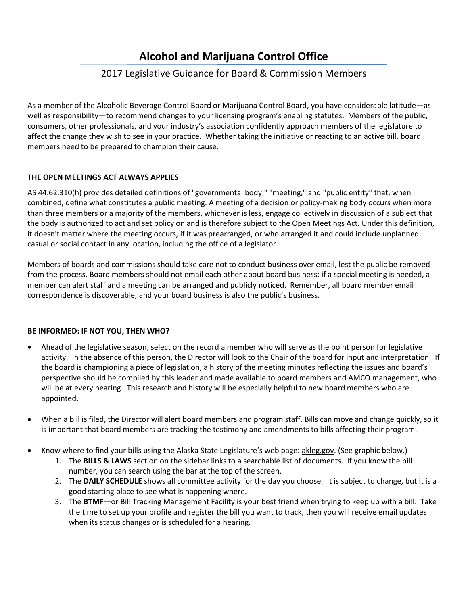# **Alcohol and Marijuana Control Office**

## 2017 Legislative Guidance for Board & Commission Members

As a member of the Alcoholic Beverage Control Board or Marijuana Control Board, you have considerable latitude—as well as responsibility—to recommend changes to your licensing program's enabling statutes. Members of the public, consumers, other professionals, and your industry's association confidently approach members of the legislature to affect the change they wish to see in your practice. Whether taking the initiative or reacting to an active bill, board members need to be prepared to champion their cause.

#### **THE OPEN MEETINGS ACT ALWAYS APPLIES**

AS 44.62.310(h) provides detailed definitions of "governmental body," "meeting," and "public entity" that, when combined, define what constitutes a public meeting. A meeting of a decision or policy-making body occurs when more than three members or a majority of the members, whichever is less, engage collectively in discussion of a subject that the body is authorized to act and set policy on and is therefore subject to the Open Meetings Act. Under this definition, it doesn't matter where the meeting occurs, if it was prearranged, or who arranged it and could include unplanned casual or social contact in any location, including the office of a legislator.

Members of boards and commissions should take care not to conduct business over email, lest the public be removed from the process. Board members should not email each other about board business; if a special meeting is needed, a member can alert staff and a meeting can be arranged and publicly noticed. Remember, all board member email correspondence is discoverable, and your board business is also the public's business.

### **BE INFORMED: IF NOT YOU, THEN WHO?**

- Ahead of the legislative season, select on the record a member who will serve as the point person for legislative activity. In the absence of this person, the Director will look to the Chair of the board for input and interpretation. If the board is championing a piece of legislation, a history of the meeting minutes reflecting the issues and board's perspective should be compiled by this leader and made available to board members and AMCO management, who will be at every hearing. This research and history will be especially helpful to new board members who are appointed.
- When a bill is filed, the Director will alert board members and program staff. Bills can move and change quickly, so it is important that board members are tracking the testimony and amendments to bills affecting their program.
- Know where to find your bills using the Alaska State Legislature's web page: akleg.gov. (See graphic below.)
	- 1. The **BILLS & LAWS** section on the sidebar links to a searchable list of documents. If you know the bill number, you can search using the bar at the top of the screen.
	- 2. The **DAILY SCHEDULE** shows all committee activity for the day you choose. It is subject to change, but it is a good starting place to see what is happening where.
	- 3. The **BTMF**—or Bill Tracking Management Facility is your best friend when trying to keep up with a bill. Take the time to set up your profile and register the bill you want to track, then you will receive email updates when its status changes or is scheduled for a hearing.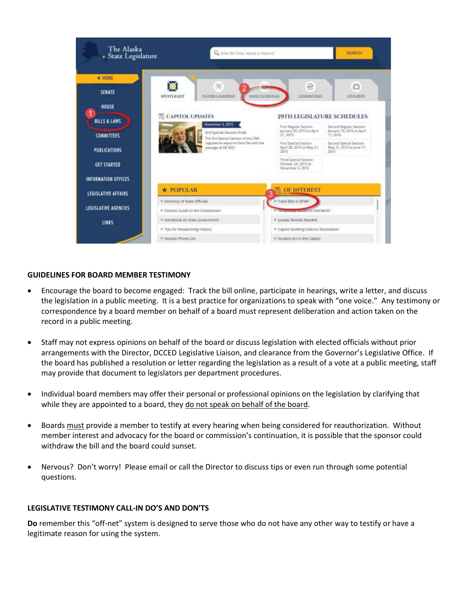| The Alaska<br>+ State Legislature  | <b>Q:</b> Emar Bill Cook Statute or Fayword                                                          |                                                                   | <b>SEARCH</b>                                                  |
|------------------------------------|------------------------------------------------------------------------------------------------------|-------------------------------------------------------------------|----------------------------------------------------------------|
| $*$ HOME<br><b>SENATE</b><br>HOUSE | 間<br>DAILY SCHIEFFLILE<br>FLOOR CALDRIAN<br><b>SPOTLIGHT</b>                                         | æ<br>COMMITTEES                                                   | ŏ<br>LIVE HEIW                                                 |
| <b>BILLS &amp; LAWS</b>            | CAPITOL UPDATES<br>November 5, 2015                                                                  |                                                                   | <b>29TH LEGISLATURE SCHEDULES</b>                              |
| <b>COMMITTEES</b>                  | 3rd Special Session Ends                                                                             | First Regular Session:<br>january 20, 2015 to Apré.<br>27, 2015   | Second Regular Sesson<br>January 19, 2016 or April<br>17, 2016 |
| PUBLICATIONS                       | The 3rd Special Sequipo of the 29th<br>Legislature adjourns Sine Die with the<br>painage of SB 3001. | First Special Session<br>April 28, 2015 to May 21.<br>2015        | Second Special Session<br>May 21, 2015 to June 11.<br>2015     |
| <b>GET STARTED</b>                 |                                                                                                      | Third Special Session:<br>October 24, 2015 to<br>November 5, 2015 |                                                                |
| <b>INFORMATION OFFICES</b>         |                                                                                                      |                                                                   |                                                                |
| <b>LEGISLATIVE AFFAIRS</b>         | <b>* POPULAR</b>                                                                                     | <b>OF INTEREST</b>                                                |                                                                |
|                                    | · Directory of State Officials                                                                       | * Track Bills in BTMF                                             |                                                                |
| LEGISLATIVE AGENCIES               | * Citizens Guide to the Constitution                                                                 | - TENNING ALLENT TO DIS BASIS                                     |                                                                |
| <b>LINKS</b>                       | * Handbook on State Government                                                                       | * Juneau Rentals Needed                                           |                                                                |
|                                    | * Tips for Researching History                                                                       | * Capitol Building Exterior Restoration                           |                                                                |
|                                    | * Session Phone List                                                                                 | · Student Art in the Capitol                                      |                                                                |

#### **GUIDELINES FOR BOARD MEMBER TESTIMONY**

- Encourage the board to become engaged: Track the bill online, participate in hearings, write a letter, and discuss the legislation in a public meeting. It is a best practice for organizations to speak with "one voice." Any testimony or correspondence by a board member on behalf of a board must represent deliberation and action taken on the record in a public meeting.
- Staff may not express opinions on behalf of the board or discuss legislation with elected officials without prior arrangements with the Director, DCCED Legislative Liaison, and clearance from the Governor's Legislative Office. If the board has published a resolution or letter regarding the legislation as a result of a vote at a public meeting, staff may provide that document to legislators per department procedures.
- Individual board members may offer their personal or professional opinions on the legislation by clarifying that while they are appointed to a board, they do not speak on behalf of the board.
- Boards must provide a member to testify at every hearing when being considered for reauthorization. Without member interest and advocacy for the board or commission's continuation, it is possible that the sponsor could withdraw the bill and the board could sunset.
- Nervous? Don't worry! Please email or call the Director to discuss tips or even run through some potential questions.

#### **LEGISLATIVE TESTIMONY CALL-IN DO'S AND DON'TS**

**Do** remember this "off-net" system is designed to serve those who do not have any other way to testify or have a legitimate reason for using the system.